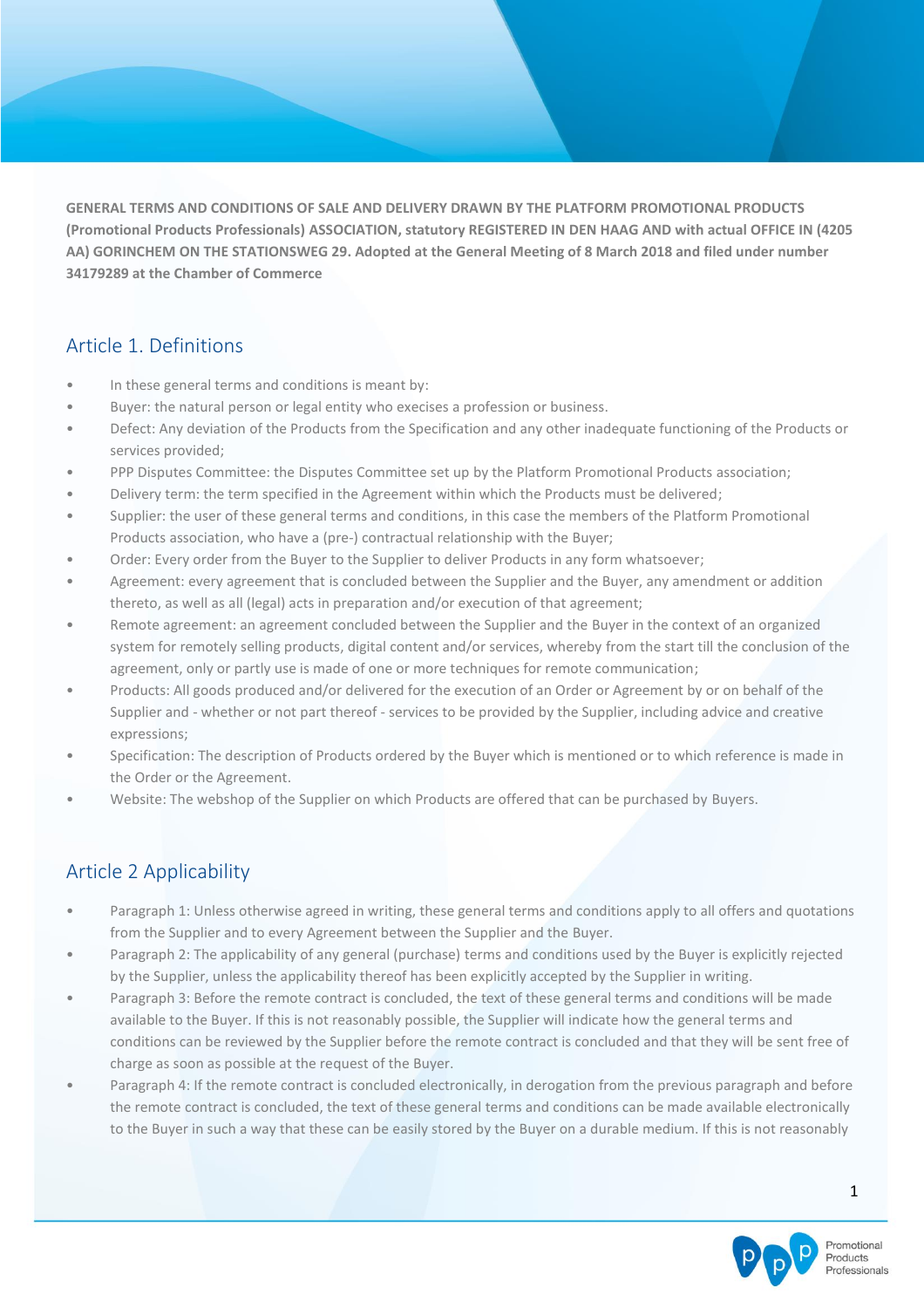**GENERAL TERMS AND CONDITIONS OF SALE AND DELIVERY DRAWN BY THE PLATFORM PROMOTIONAL PRODUCTS (Promotional Products Professionals) ASSOCIATION, statutory REGISTERED IN DEN HAAG AND with actual OFFICE IN (4205 AA) GORINCHEM ON THE STATIONSWEG 29. Adopted at the General Meeting of 8 March 2018 and filed under number 34179289 at the Chamber of Commerce**

## Article 1. Definitions

- In these general terms and conditions is meant by:
- Buyer: the natural person or legal entity who execises a profession or business.
- Defect: Any deviation of the Products from the Specification and any other inadequate functioning of the Products or services provided;
- PPP Disputes Committee: the Disputes Committee set up by the Platform Promotional Products association;
- Delivery term: the term specified in the Agreement within which the Products must be delivered;
- Supplier: the user of these general terms and conditions, in this case the members of the Platform Promotional Products association, who have a (pre-) contractual relationship with the Buyer;
- Order: Every order from the Buyer to the Supplier to deliver Products in any form whatsoever;
- Agreement: every agreement that is concluded between the Supplier and the Buyer, any amendment or addition thereto, as well as all (legal) acts in preparation and/or execution of that agreement;
- Remote agreement: an agreement concluded between the Supplier and the Buyer in the context of an organized system for remotely selling products, digital content and/or services, whereby from the start till the conclusion of the agreement, only or partly use is made of one or more techniques for remote communication;
- Products: All goods produced and/or delivered for the execution of an Order or Agreement by or on behalf of the Supplier and - whether or not part thereof - services to be provided by the Supplier, including advice and creative expressions;
- Specification: The description of Products ordered by the Buyer which is mentioned or to which reference is made in the Order or the Agreement.
- Website: The webshop of the Supplier on which Products are offered that can be purchased by Buyers.

## Article 2 Applicability

- Paragraph 1: Unless otherwise agreed in writing, these general terms and conditions apply to all offers and quotations from the Supplier and to every Agreement between the Supplier and the Buyer.
- Paragraph 2: The applicability of any general (purchase) terms and conditions used by the Buyer is explicitly rejected by the Supplier, unless the applicability thereof has been explicitly accepted by the Supplier in writing.
- Paragraph 3: Before the remote contract is concluded, the text of these general terms and conditions will be made available to the Buyer. If this is not reasonably possible, the Supplier will indicate how the general terms and conditions can be reviewed by the Supplier before the remote contract is concluded and that they will be sent free of charge as soon as possible at the request of the Buyer.
- Paragraph 4: If the remote contract is concluded electronically, in derogation from the previous paragraph and before the remote contract is concluded, the text of these general terms and conditions can be made available electronically to the Buyer in such a way that these can be easily stored by the Buyer on a durable medium. If this is not reasonably

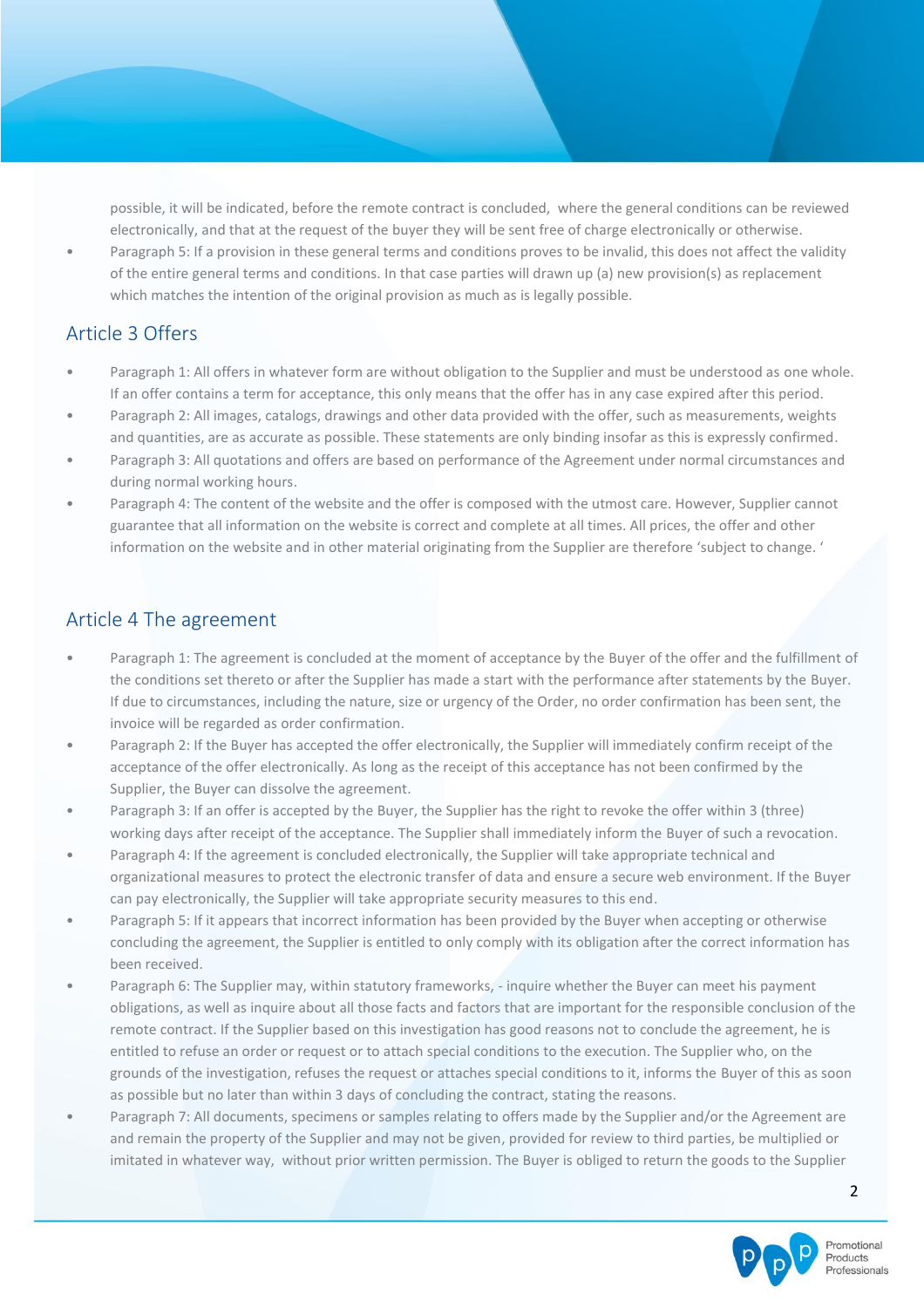possible, it will be indicated, before the remote contract is concluded, where the general conditions can be reviewed electronically, and that at the request of the buyer they will be sent free of charge electronically or otherwise.

• Paragraph 5: If a provision in these general terms and conditions proves to be invalid, this does not affect the validity of the entire general terms and conditions. In that case parties will drawn up (a) new provision(s) as replacement which matches the intention of the original provision as much as is legally possible.

# Article 3 Offers

- Paragraph 1: All offers in whatever form are without obligation to the Supplier and must be understood as one whole. If an offer contains a term for acceptance, this only means that the offer has in any case expired after this period.
- Paragraph 2: All images, catalogs, drawings and other data provided with the offer, such as measurements, weights and quantities, are as accurate as possible. These statements are only binding insofar as this is expressly confirmed.
- Paragraph 3: All quotations and offers are based on performance of the Agreement under normal circumstances and during normal working hours.
- Paragraph 4: The content of the website and the offer is composed with the utmost care. However, Supplier cannot guarantee that all information on the website is correct and complete at all times. All prices, the offer and other information on the website and in other material originating from the Supplier are therefore 'subject to change. '

### Article 4 The agreement

- Paragraph 1: The agreement is concluded at the moment of acceptance by the Buyer of the offer and the fulfillment of the conditions set thereto or after the Supplier has made a start with the performance after statements by the Buyer. If due to circumstances, including the nature, size or urgency of the Order, no order confirmation has been sent, the invoice will be regarded as order confirmation.
- Paragraph 2: If the Buyer has accepted the offer electronically, the Supplier will immediately confirm receipt of the acceptance of the offer electronically. As long as the receipt of this acceptance has not been confirmed by the Supplier, the Buyer can dissolve the agreement.
- Paragraph 3: If an offer is accepted by the Buyer, the Supplier has the right to revoke the offer within 3 (three) working days after receipt of the acceptance. The Supplier shall immediately inform the Buyer of such a revocation.
- Paragraph 4: If the agreement is concluded electronically, the Supplier will take appropriate technical and organizational measures to protect the electronic transfer of data and ensure a secure web environment. If the Buyer can pay electronically, the Supplier will take appropriate security measures to this end.
- Paragraph 5: If it appears that incorrect information has been provided by the Buyer when accepting or otherwise concluding the agreement, the Supplier is entitled to only comply with its obligation after the correct information has been received.
- Paragraph 6: The Supplier may, within statutory frameworks, inquire whether the Buyer can meet his payment obligations, as well as inquire about all those facts and factors that are important for the responsible conclusion of the remote contract. If the Supplier based on this investigation has good reasons not to conclude the agreement, he is entitled to refuse an order or request or to attach special conditions to the execution. The Supplier who, on the grounds of the investigation, refuses the request or attaches special conditions to it, informs the Buyer of this as soon as possible but no later than within 3 days of concluding the contract, stating the reasons.
- Paragraph 7: All documents, specimens or samples relating to offers made by the Supplier and/or the Agreement are and remain the property of the Supplier and may not be given, provided for review to third parties, be multiplied or imitated in whatever way, without prior written permission. The Buyer is obliged to return the goods to the Supplier

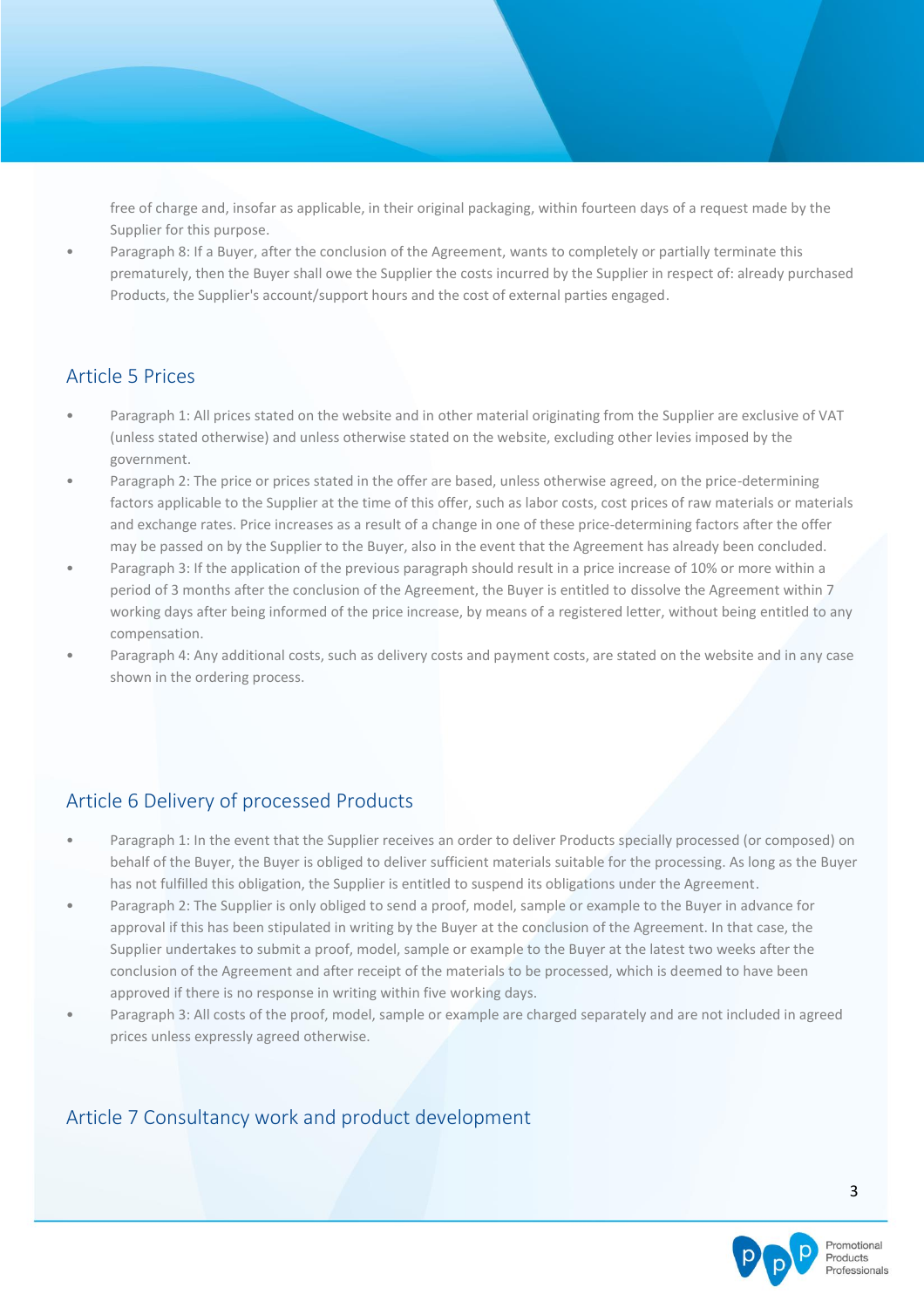free of charge and, insofar as applicable, in their original packaging, within fourteen days of a request made by the Supplier for this purpose.

• Paragraph 8: If a Buyer, after the conclusion of the Agreement, wants to completely or partially terminate this prematurely, then the Buyer shall owe the Supplier the costs incurred by the Supplier in respect of: already purchased Products, the Supplier's account/support hours and the cost of external parties engaged.

### Article 5 Prices

- Paragraph 1: All prices stated on the website and in other material originating from the Supplier are exclusive of VAT (unless stated otherwise) and unless otherwise stated on the website, excluding other levies imposed by the government.
- Paragraph 2: The price or prices stated in the offer are based, unless otherwise agreed, on the price-determining factors applicable to the Supplier at the time of this offer, such as labor costs, cost prices of raw materials or materials and exchange rates. Price increases as a result of a change in one of these price-determining factors after the offer may be passed on by the Supplier to the Buyer, also in the event that the Agreement has already been concluded.
- Paragraph 3: If the application of the previous paragraph should result in a price increase of 10% or more within a period of 3 months after the conclusion of the Agreement, the Buyer is entitled to dissolve the Agreement within 7 working days after being informed of the price increase, by means of a registered letter, without being entitled to any compensation.
- Paragraph 4: Any additional costs, such as delivery costs and payment costs, are stated on the website and in any case shown in the ordering process.

## Article 6 Delivery of processed Products

- Paragraph 1: In the event that the Supplier receives an order to deliver Products specially processed (or composed) on behalf of the Buyer, the Buyer is obliged to deliver sufficient materials suitable for the processing. As long as the Buyer has not fulfilled this obligation, the Supplier is entitled to suspend its obligations under the Agreement.
- Paragraph 2: The Supplier is only obliged to send a proof, model, sample or example to the Buyer in advance for approval if this has been stipulated in writing by the Buyer at the conclusion of the Agreement. In that case, the Supplier undertakes to submit a proof, model, sample or example to the Buyer at the latest two weeks after the conclusion of the Agreement and after receipt of the materials to be processed, which is deemed to have been approved if there is no response in writing within five working days.
- Paragraph 3: All costs of the proof, model, sample or example are charged separately and are not included in agreed prices unless expressly agreed otherwise.

### Article 7 Consultancy work and product development

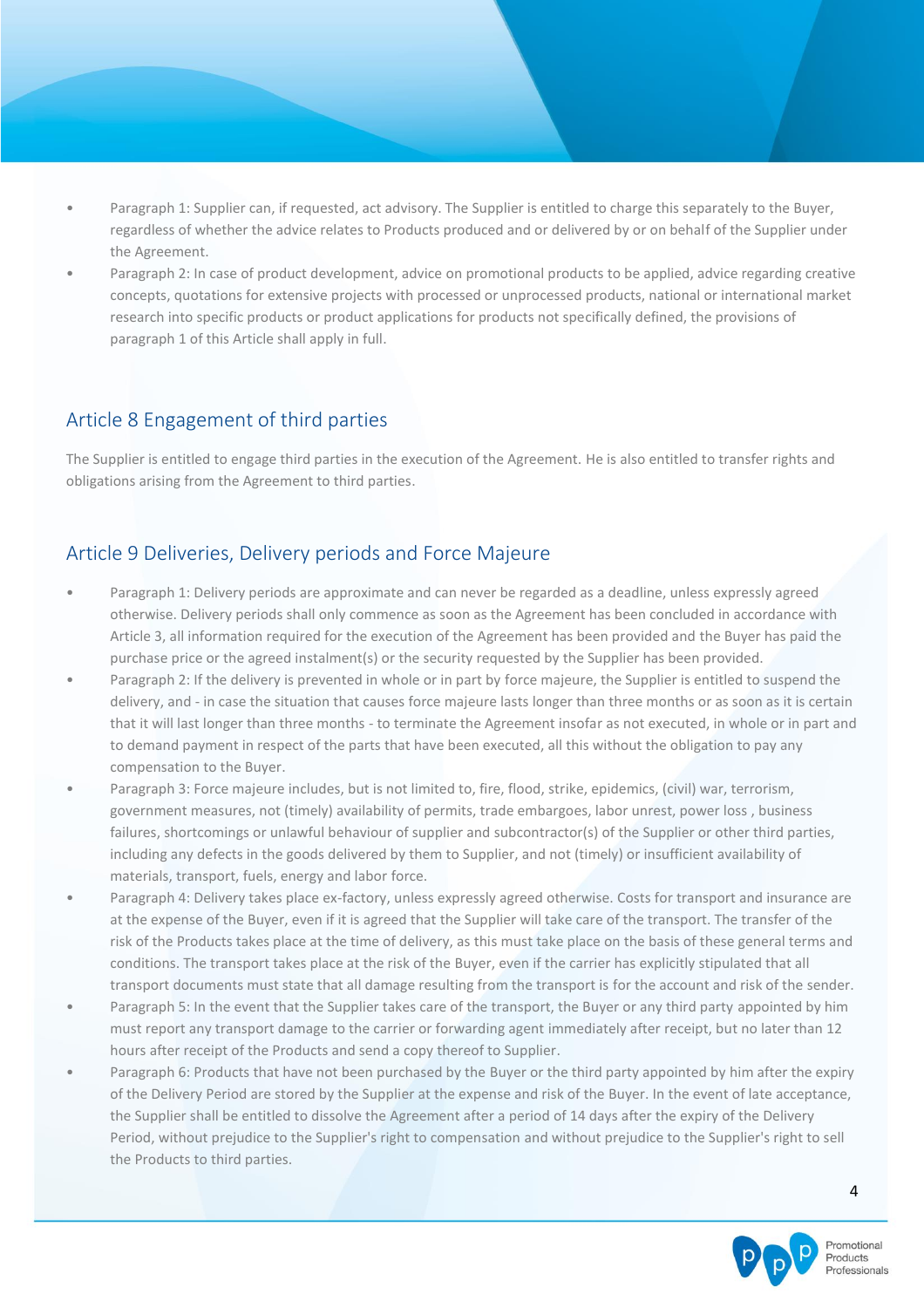- Paragraph 1: Supplier can, if requested, act advisory. The Supplier is entitled to charge this separately to the Buyer, regardless of whether the advice relates to Products produced and or delivered by or on behalf of the Supplier under the Agreement.
- Paragraph 2: In case of product development, advice on promotional products to be applied, advice regarding creative concepts, quotations for extensive projects with processed or unprocessed products, national or international market research into specific products or product applications for products not specifically defined, the provisions of paragraph 1 of this Article shall apply in full.

#### Article 8 Engagement of third parties

The Supplier is entitled to engage third parties in the execution of the Agreement. He is also entitled to transfer rights and obligations arising from the Agreement to third parties.

### Article 9 Deliveries, Delivery periods and Force Majeure

- Paragraph 1: Delivery periods are approximate and can never be regarded as a deadline, unless expressly agreed otherwise. Delivery periods shall only commence as soon as the Agreement has been concluded in accordance with Article 3, all information required for the execution of the Agreement has been provided and the Buyer has paid the purchase price or the agreed instalment(s) or the security requested by the Supplier has been provided.
- Paragraph 2: If the delivery is prevented in whole or in part by force majeure, the Supplier is entitled to suspend the delivery, and - in case the situation that causes force majeure lasts longer than three months or as soon as it is certain that it will last longer than three months - to terminate the Agreement insofar as not executed, in whole or in part and to demand payment in respect of the parts that have been executed, all this without the obligation to pay any compensation to the Buyer.
- Paragraph 3: Force majeure includes, but is not limited to, fire, flood, strike, epidemics, (civil) war, terrorism, government measures, not (timely) availability of permits, trade embargoes, labor unrest, power loss , business failures, shortcomings or unlawful behaviour of supplier and subcontractor(s) of the Supplier or other third parties, including any defects in the goods delivered by them to Supplier, and not (timely) or insufficient availability of materials, transport, fuels, energy and labor force.
- Paragraph 4: Delivery takes place ex-factory, unless expressly agreed otherwise. Costs for transport and insurance are at the expense of the Buyer, even if it is agreed that the Supplier will take care of the transport. The transfer of the risk of the Products takes place at the time of delivery, as this must take place on the basis of these general terms and conditions. The transport takes place at the risk of the Buyer, even if the carrier has explicitly stipulated that all transport documents must state that all damage resulting from the transport is for the account and risk of the sender.
- Paragraph 5: In the event that the Supplier takes care of the transport, the Buyer or any third party appointed by him must report any transport damage to the carrier or forwarding agent immediately after receipt, but no later than 12 hours after receipt of the Products and send a copy thereof to Supplier.
- Paragraph 6: Products that have not been purchased by the Buyer or the third party appointed by him after the expiry of the Delivery Period are stored by the Supplier at the expense and risk of the Buyer. In the event of late acceptance, the Supplier shall be entitled to dissolve the Agreement after a period of 14 days after the expiry of the Delivery Period, without prejudice to the Supplier's right to compensation and without prejudice to the Supplier's right to sell the Products to third parties.

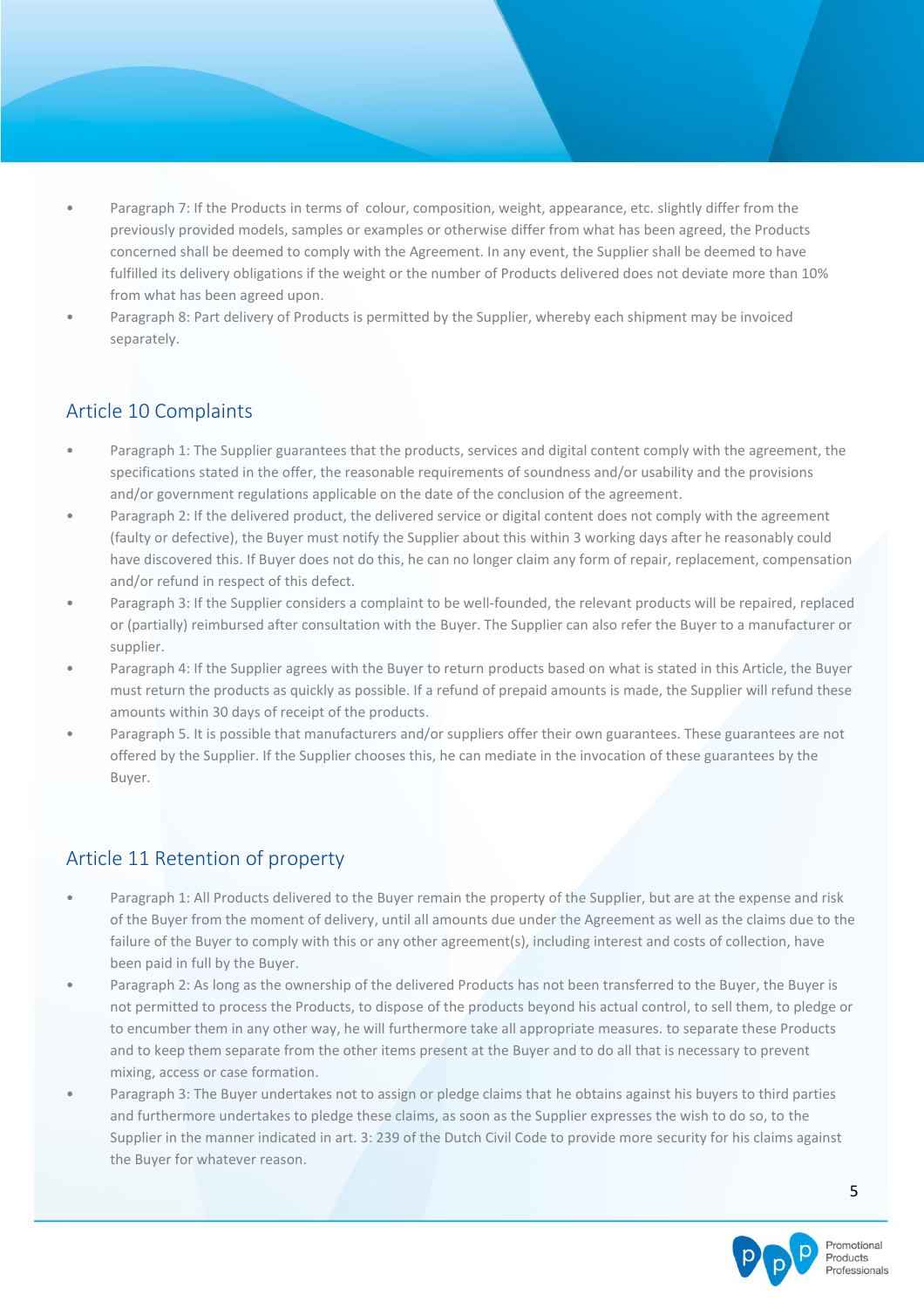- Paragraph 7: If the Products in terms of colour, composition, weight, appearance, etc. slightly differ from the previously provided models, samples or examples or otherwise differ from what has been agreed, the Products concerned shall be deemed to comply with the Agreement. In any event, the Supplier shall be deemed to have fulfilled its delivery obligations if the weight or the number of Products delivered does not deviate more than 10% from what has been agreed upon.
- Paragraph 8: Part delivery of Products is permitted by the Supplier, whereby each shipment may be invoiced separately.

## Article 10 Complaints

- Paragraph 1: The Supplier guarantees that the products, services and digital content comply with the agreement, the specifications stated in the offer, the reasonable requirements of soundness and/or usability and the provisions and/or government regulations applicable on the date of the conclusion of the agreement.
- Paragraph 2: If the delivered product, the delivered service or digital content does not comply with the agreement (faulty or defective), the Buyer must notify the Supplier about this within 3 working days after he reasonably could have discovered this. If Buyer does not do this, he can no longer claim any form of repair, replacement, compensation and/or refund in respect of this defect.
- Paragraph 3: If the Supplier considers a complaint to be well-founded, the relevant products will be repaired, replaced or (partially) reimbursed after consultation with the Buyer. The Supplier can also refer the Buyer to a manufacturer or supplier.
- Paragraph 4: If the Supplier agrees with the Buyer to return products based on what is stated in this Article, the Buyer must return the products as quickly as possible. If a refund of prepaid amounts is made, the Supplier will refund these amounts within 30 days of receipt of the products.
- Paragraph 5. It is possible that manufacturers and/or suppliers offer their own guarantees. These guarantees are not offered by the Supplier. If the Supplier chooses this, he can mediate in the invocation of these guarantees by the Buyer.

## Article 11 Retention of property

- Paragraph 1: All Products delivered to the Buyer remain the property of the Supplier, but are at the expense and risk of the Buyer from the moment of delivery, until all amounts due under the Agreement as well as the claims due to the failure of the Buyer to comply with this or any other agreement(s), including interest and costs of collection, have been paid in full by the Buyer.
- Paragraph 2: As long as the ownership of the delivered Products has not been transferred to the Buyer, the Buyer is not permitted to process the Products, to dispose of the products beyond his actual control, to sell them, to pledge or to encumber them in any other way, he will furthermore take all appropriate measures. to separate these Products and to keep them separate from the other items present at the Buyer and to do all that is necessary to prevent mixing, access or case formation.
- Paragraph 3: The Buyer undertakes not to assign or pledge claims that he obtains against his buyers to third parties and furthermore undertakes to pledge these claims, as soon as the Supplier expresses the wish to do so, to the Supplier in the manner indicated in art. 3: 239 of the Dutch Civil Code to provide more security for his claims against the Buyer for whatever reason.

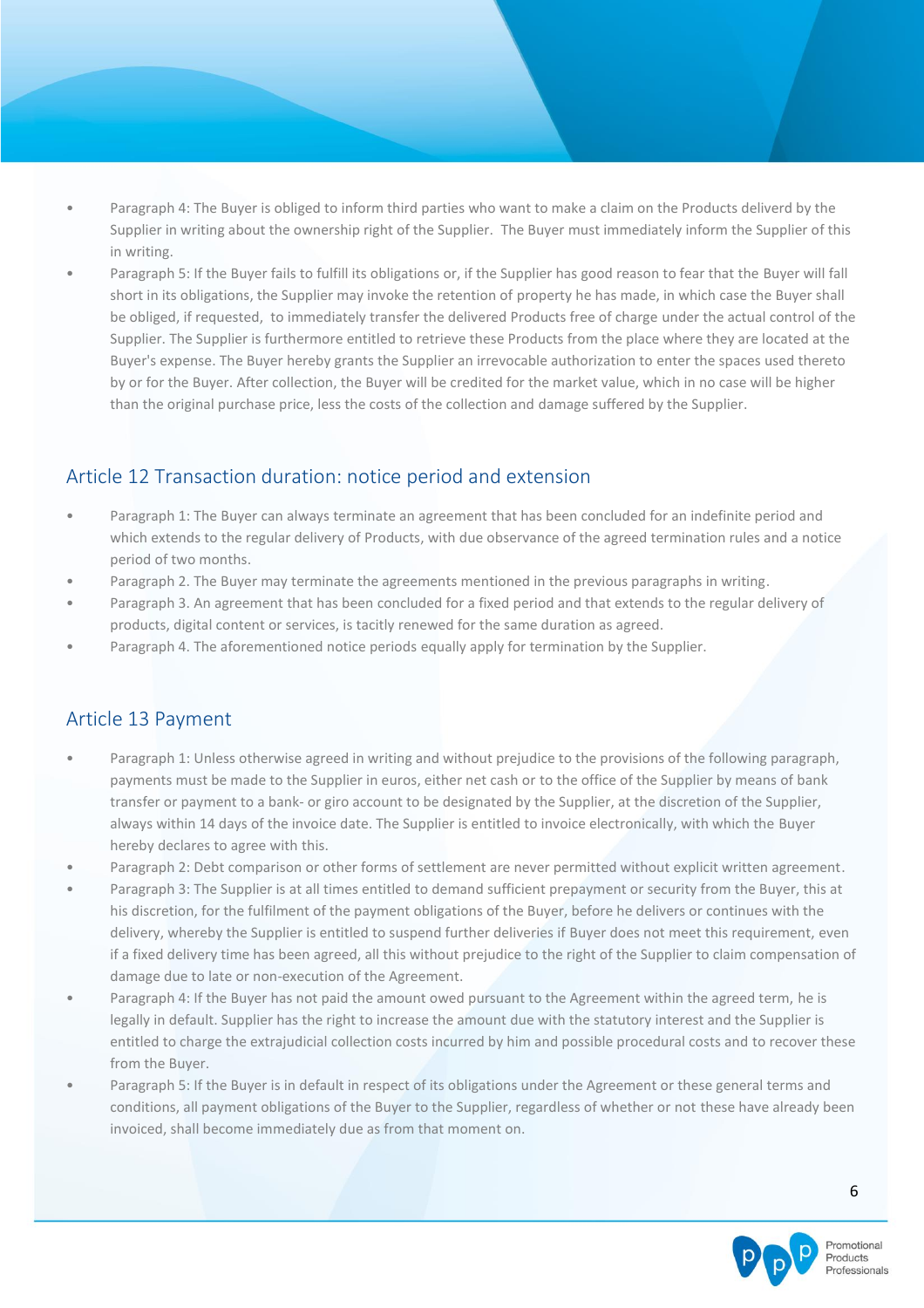- Paragraph 4: The Buyer is obliged to inform third parties who want to make a claim on the Products deliverd by the Supplier in writing about the ownership right of the Supplier. The Buyer must immediately inform the Supplier of this in writing.
- Paragraph 5: If the Buyer fails to fulfill its obligations or, if the Supplier has good reason to fear that the Buyer will fall short in its obligations, the Supplier may invoke the retention of property he has made, in which case the Buyer shall be obliged, if requested, to immediately transfer the delivered Products free of charge under the actual control of the Supplier. The Supplier is furthermore entitled to retrieve these Products from the place where they are located at the Buyer's expense. The Buyer hereby grants the Supplier an irrevocable authorization to enter the spaces used thereto by or for the Buyer. After collection, the Buyer will be credited for the market value, which in no case will be higher than the original purchase price, less the costs of the collection and damage suffered by the Supplier.

### Article 12 Transaction duration: notice period and extension

- Paragraph 1: The Buyer can always terminate an agreement that has been concluded for an indefinite period and which extends to the regular delivery of Products, with due observance of the agreed termination rules and a notice period of two months.
- Paragraph 2. The Buyer may terminate the agreements mentioned in the previous paragraphs in writing.
- Paragraph 3. An agreement that has been concluded for a fixed period and that extends to the regular delivery of products, digital content or services, is tacitly renewed for the same duration as agreed.
- Paragraph 4. The aforementioned notice periods equally apply for termination by the Supplier.

#### Article 13 Payment

- Paragraph 1: Unless otherwise agreed in writing and without prejudice to the provisions of the following paragraph, payments must be made to the Supplier in euros, either net cash or to the office of the Supplier by means of bank transfer or payment to a bank- or giro account to be designated by the Supplier, at the discretion of the Supplier, always within 14 days of the invoice date. The Supplier is entitled to invoice electronically, with which the Buyer hereby declares to agree with this.
- Paragraph 2: Debt comparison or other forms of settlement are never permitted without explicit written agreement.
- Paragraph 3: The Supplier is at all times entitled to demand sufficient prepayment or security from the Buyer, this at his discretion, for the fulfilment of the payment obligations of the Buyer, before he delivers or continues with the delivery, whereby the Supplier is entitled to suspend further deliveries if Buyer does not meet this requirement, even if a fixed delivery time has been agreed, all this without prejudice to the right of the Supplier to claim compensation of damage due to late or non-execution of the Agreement.
- Paragraph 4: If the Buyer has not paid the amount owed pursuant to the Agreement within the agreed term, he is legally in default. Supplier has the right to increase the amount due with the statutory interest and the Supplier is entitled to charge the extrajudicial collection costs incurred by him and possible procedural costs and to recover these from the Buyer.
- Paragraph 5: If the Buyer is in default in respect of its obligations under the Agreement or these general terms and conditions, all payment obligations of the Buyer to the Supplier, regardless of whether or not these have already been invoiced, shall become immediately due as from that moment on.

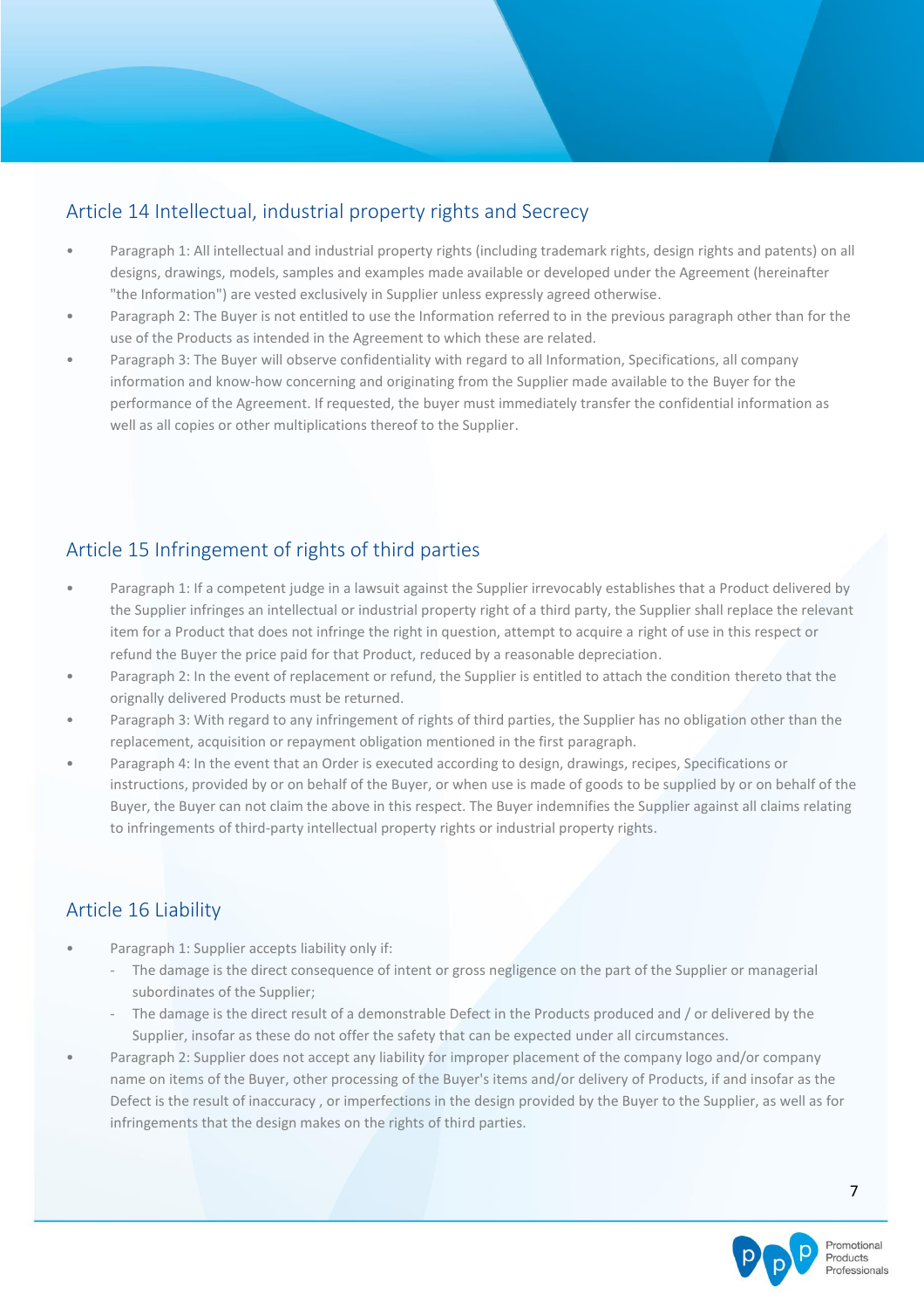# Article 14 Intellectual, industrial property rights and Secrecy

- Paragraph 1: All intellectual and industrial property rights (including trademark rights, design rights and patents) on all designs, drawings, models, samples and examples made available or developed under the Agreement (hereinafter "the Information") are vested exclusively in Supplier unless expressly agreed otherwise.
- Paragraph 2: The Buyer is not entitled to use the Information referred to in the previous paragraph other than for the use of the Products as intended in the Agreement to which these are related.
- Paragraph 3: The Buyer will observe confidentiality with regard to all Information, Specifications, all company information and know-how concerning and originating from the Supplier made available to the Buyer for the performance of the Agreement. If requested, the buyer must immediately transfer the confidential information as well as all copies or other multiplications thereof to the Supplier.

# Article 15 Infringement of rights of third parties

- Paragraph 1: If a competent judge in a lawsuit against the Supplier irrevocably establishes that a Product delivered by the Supplier infringes an intellectual or industrial property right of a third party, the Supplier shall replace the relevant item for a Product that does not infringe the right in question, attempt to acquire a right of use in this respect or refund the Buyer the price paid for that Product, reduced by a reasonable depreciation.
- Paragraph 2: In the event of replacement or refund, the Supplier is entitled to attach the condition thereto that the orignally delivered Products must be returned.
- Paragraph 3: With regard to any infringement of rights of third parties, the Supplier has no obligation other than the replacement, acquisition or repayment obligation mentioned in the first paragraph.
- Paragraph 4: In the event that an Order is executed according to design, drawings, recipes, Specifications or instructions, provided by or on behalf of the Buyer, or when use is made of goods to be supplied by or on behalf of the Buyer, the Buyer can not claim the above in this respect. The Buyer indemnifies the Supplier against all claims relating to infringements of third-party intellectual property rights or industrial property rights.

# Article 16 Liability

- Paragraph 1: Supplier accepts liability only if:
	- The damage is the direct consequence of intent or gross negligence on the part of the Supplier or managerial subordinates of the Supplier;
	- The damage is the direct result of a demonstrable Defect in the Products produced and / or delivered by the Supplier, insofar as these do not offer the safety that can be expected under all circumstances.
- Paragraph 2: Supplier does not accept any liability for improper placement of the company logo and/or company name on items of the Buyer, other processing of the Buyer's items and/or delivery of Products, if and insofar as the Defect is the result of inaccuracy , or imperfections in the design provided by the Buyer to the Supplier, as well as for infringements that the design makes on the rights of third parties.

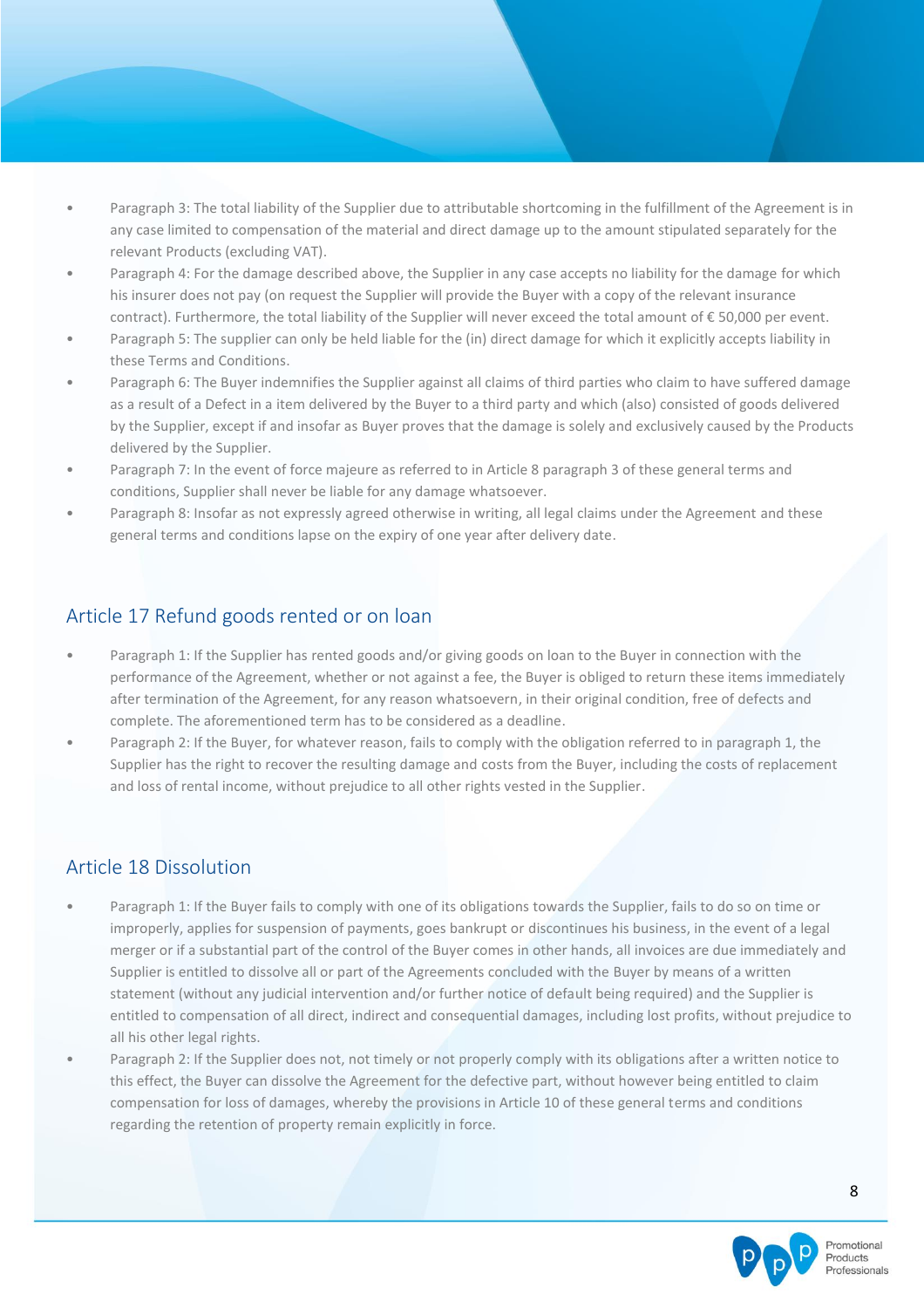- Paragraph 3: The total liability of the Supplier due to attributable shortcoming in the fulfillment of the Agreement is in any case limited to compensation of the material and direct damage up to the amount stipulated separately for the relevant Products (excluding VAT).
- Paragraph 4: For the damage described above, the Supplier in any case accepts no liability for the damage for which his insurer does not pay (on request the Supplier will provide the Buyer with a copy of the relevant insurance contract). Furthermore, the total liability of the Supplier will never exceed the total amount of € 50,000 per event.
- Paragraph 5: The supplier can only be held liable for the (in) direct damage for which it explicitly accepts liability in these Terms and Conditions.
- Paragraph 6: The Buyer indemnifies the Supplier against all claims of third parties who claim to have suffered damage as a result of a Defect in a item delivered by the Buyer to a third party and which (also) consisted of goods delivered by the Supplier, except if and insofar as Buyer proves that the damage is solely and exclusively caused by the Products delivered by the Supplier.
- Paragraph 7: In the event of force majeure as referred to in Article 8 paragraph 3 of these general terms and conditions, Supplier shall never be liable for any damage whatsoever.
- Paragraph 8: Insofar as not expressly agreed otherwise in writing, all legal claims under the Agreement and these general terms and conditions lapse on the expiry of one year after delivery date.

## Article 17 Refund goods rented or on loan

- Paragraph 1: If the Supplier has rented goods and/or giving goods on loan to the Buyer in connection with the performance of the Agreement, whether or not against a fee, the Buyer is obliged to return these items immediately after termination of the Agreement, for any reason whatsoevern, in their original condition, free of defects and complete. The aforementioned term has to be considered as a deadline.
- Paragraph 2: If the Buyer, for whatever reason, fails to comply with the obligation referred to in paragraph 1, the Supplier has the right to recover the resulting damage and costs from the Buyer, including the costs of replacement and loss of rental income, without prejudice to all other rights vested in the Supplier.

## Article 18 Dissolution

- Paragraph 1: If the Buyer fails to comply with one of its obligations towards the Supplier, fails to do so on time or improperly, applies for suspension of payments, goes bankrupt or discontinues his business, in the event of a legal merger or if a substantial part of the control of the Buyer comes in other hands, all invoices are due immediately and Supplier is entitled to dissolve all or part of the Agreements concluded with the Buyer by means of a written statement (without any judicial intervention and/or further notice of default being required) and the Supplier is entitled to compensation of all direct, indirect and consequential damages, including lost profits, without prejudice to all his other legal rights.
- Paragraph 2: If the Supplier does not, not timely or not properly comply with its obligations after a written notice to this effect, the Buyer can dissolve the Agreement for the defective part, without however being entitled to claim compensation for loss of damages, whereby the provisions in Article 10 of these general terms and conditions regarding the retention of property remain explicitly in force.

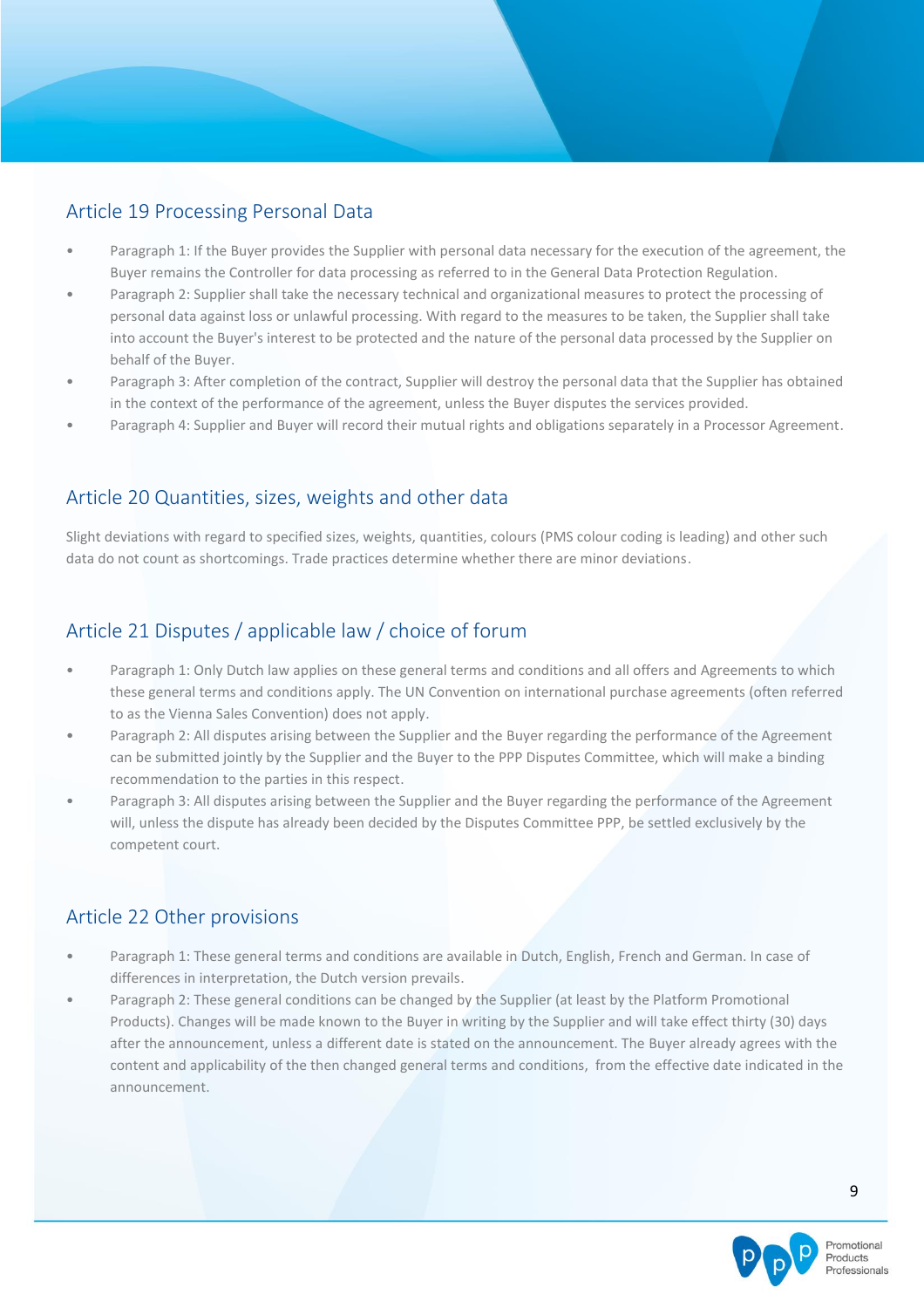## Article 19 Processing Personal Data

- Paragraph 1: If the Buyer provides the Supplier with personal data necessary for the execution of the agreement, the Buyer remains the Controller for data processing as referred to in the General Data Protection Regulation.
- Paragraph 2: Supplier shall take the necessary technical and organizational measures to protect the processing of personal data against loss or unlawful processing. With regard to the measures to be taken, the Supplier shall take into account the Buyer's interest to be protected and the nature of the personal data processed by the Supplier on behalf of the Buyer.
- Paragraph 3: After completion of the contract, Supplier will destroy the personal data that the Supplier has obtained in the context of the performance of the agreement, unless the Buyer disputes the services provided.
- Paragraph 4: Supplier and Buyer will record their mutual rights and obligations separately in a Processor Agreement.

## Article 20 Quantities, sizes, weights and other data

Slight deviations with regard to specified sizes, weights, quantities, colours (PMS colour coding is leading) and other such data do not count as shortcomings. Trade practices determine whether there are minor deviations.

# Article 21 Disputes / applicable law / choice of forum

- Paragraph 1: Only Dutch law applies on these general terms and conditions and all offers and Agreements to which these general terms and conditions apply. The UN Convention on international purchase agreements (often referred to as the Vienna Sales Convention) does not apply.
- Paragraph 2: All disputes arising between the Supplier and the Buyer regarding the performance of the Agreement can be submitted jointly by the Supplier and the Buyer to the PPP Disputes Committee, which will make a binding recommendation to the parties in this respect.
- Paragraph 3: All disputes arising between the Supplier and the Buyer regarding the performance of the Agreement will, unless the dispute has already been decided by the Disputes Committee PPP, be settled exclusively by the competent court.

## Article 22 Other provisions

- Paragraph 1: These general terms and conditions are available in Dutch, English, French and German. In case of differences in interpretation, the Dutch version prevails.
- Paragraph 2: These general conditions can be changed by the Supplier (at least by the Platform Promotional Products). Changes will be made known to the Buyer in writing by the Supplier and will take effect thirty (30) days after the announcement, unless a different date is stated on the announcement. The Buyer already agrees with the content and applicability of the then changed general terms and conditions, from the effective date indicated in the announcement.